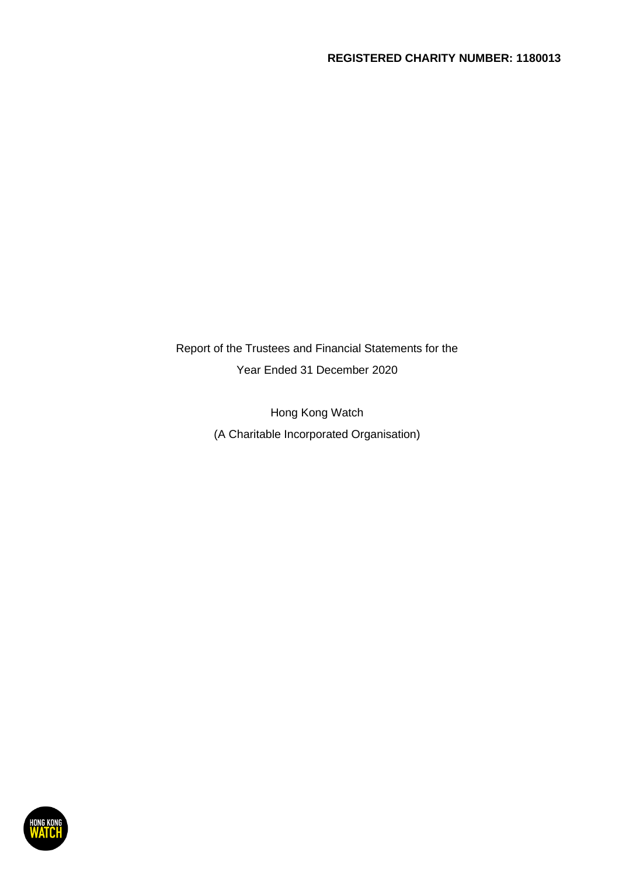Report of the Trustees and Financial Statements for the Year Ended 31 December 2020

> Hong Kong Watch (A Charitable Incorporated Organisation)

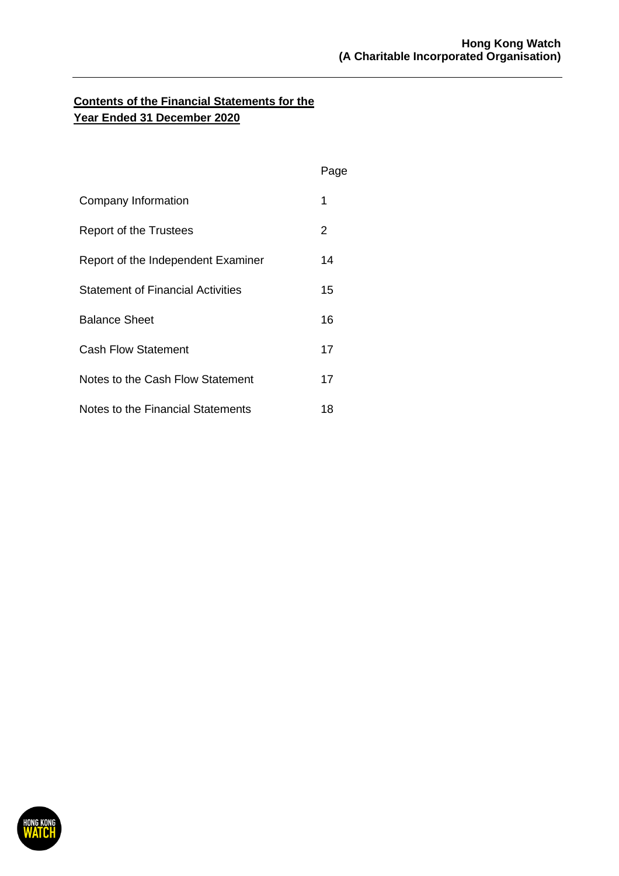|                                          | Page |
|------------------------------------------|------|
| Company Information                      | 1    |
| Report of the Trustees                   | 2    |
| Report of the Independent Examiner       | 14   |
| <b>Statement of Financial Activities</b> | 15   |
| <b>Balance Sheet</b>                     | 16   |
| <b>Cash Flow Statement</b>               | 17   |
| Notes to the Cash Flow Statement         | 17   |
| Notes to the Financial Statements        | 18   |

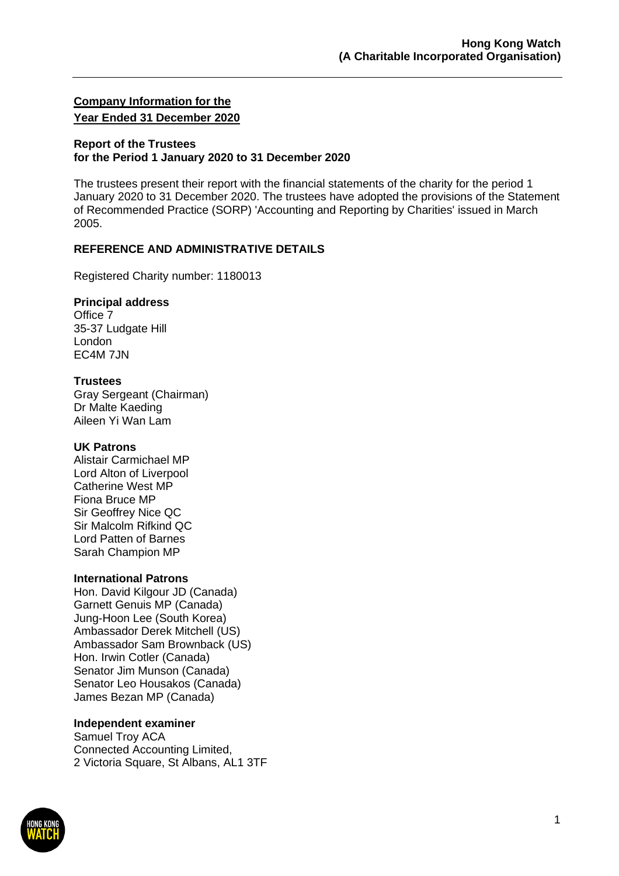## **Company Information for the Year Ended 31 December 2020**

#### **Report of the Trustees for the Period 1 January 2020 to 31 December 2020**

The trustees present their report with the financial statements of the charity for the period 1 January 2020 to 31 December 2020. The trustees have adopted the provisions of the Statement of Recommended Practice (SORP) 'Accounting and Reporting by Charities' issued in March 2005.

### **REFERENCE AND ADMINISTRATIVE DETAILS**

Registered Charity number: 1180013

#### **Principal address**

Office 7 35-37 Ludgate Hill London EC4M 7JN

### **Trustees**

Gray Sergeant (Chairman) Dr Malte Kaeding Aileen Yi Wan Lam

### **UK Patrons**

Alistair Carmichael MP Lord Alton of Liverpool Catherine West MP Fiona Bruce MP Sir Geoffrey Nice QC Sir Malcolm Rifkind QC Lord Patten of Barnes Sarah Champion MP

### **International Patrons**

Hon. David Kilgour JD (Canada) Garnett Genuis MP (Canada) Jung-Hoon Lee (South Korea) Ambassador Derek Mitchell (US) Ambassador Sam Brownback (US) Hon. Irwin Cotler (Canada) Senator Jim Munson (Canada) Senator Leo Housakos (Canada) James Bezan MP (Canada)

### **Independent examiner**

Samuel Troy ACA Connected Accounting Limited, 2 Victoria Square, St Albans, AL1 3TF

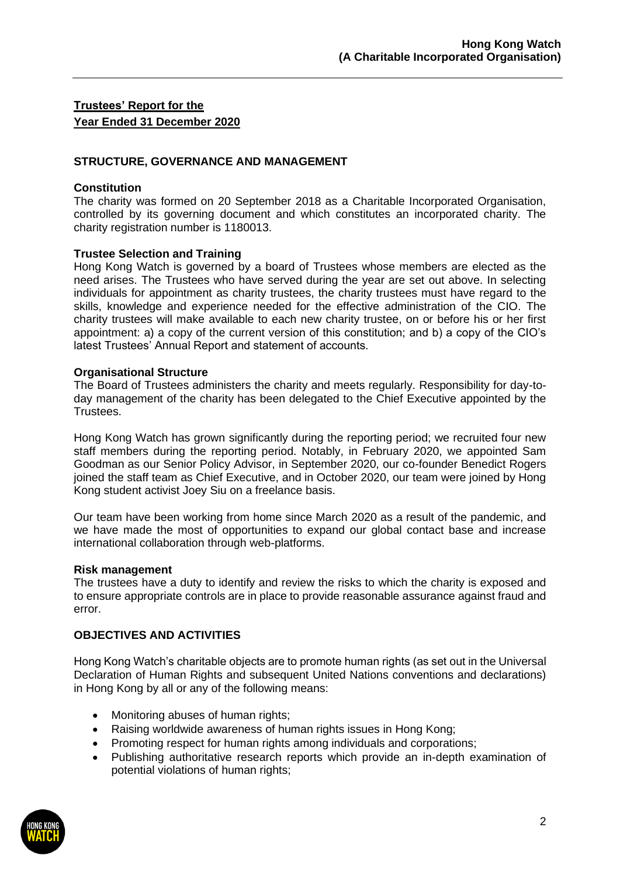### **STRUCTURE, GOVERNANCE AND MANAGEMENT**

### **Constitution**

The charity was formed on 20 September 2018 as a Charitable Incorporated Organisation, controlled by its governing document and which constitutes an incorporated charity. The charity registration number is 1180013.

### **Trustee Selection and Training**

Hong Kong Watch is governed by a board of Trustees whose members are elected as the need arises. The Trustees who have served during the year are set out above. In selecting individuals for appointment as charity trustees, the charity trustees must have regard to the skills, knowledge and experience needed for the effective administration of the CIO. The charity trustees will make available to each new charity trustee, on or before his or her first appointment: a) a copy of the current version of this constitution; and b) a copy of the CIO's latest Trustees' Annual Report and statement of accounts.

#### **Organisational Structure**

The Board of Trustees administers the charity and meets regularly. Responsibility for day-today management of the charity has been delegated to the Chief Executive appointed by the Trustees.

Hong Kong Watch has grown significantly during the reporting period; we recruited four new staff members during the reporting period. Notably, in February 2020, we appointed Sam Goodman as our Senior Policy Advisor, in September 2020, our co-founder Benedict Rogers joined the staff team as Chief Executive, and in October 2020, our team were joined by Hong Kong student activist Joey Siu on a freelance basis.

Our team have been working from home since March 2020 as a result of the pandemic, and we have made the most of opportunities to expand our global contact base and increase international collaboration through web-platforms.

### **Risk management**

The trustees have a duty to identify and review the risks to which the charity is exposed and to ensure appropriate controls are in place to provide reasonable assurance against fraud and error.

### **OBJECTIVES AND ACTIVITIES**

Hong Kong Watch's charitable objects are to promote human rights (as set out in the Universal Declaration of Human Rights and subsequent United Nations conventions and declarations) in Hong Kong by all or any of the following means:

- Monitoring abuses of human rights;
- Raising worldwide awareness of human rights issues in Hong Kong;
- Promoting respect for human rights among individuals and corporations;
- Publishing authoritative research reports which provide an in-depth examination of potential violations of human rights;

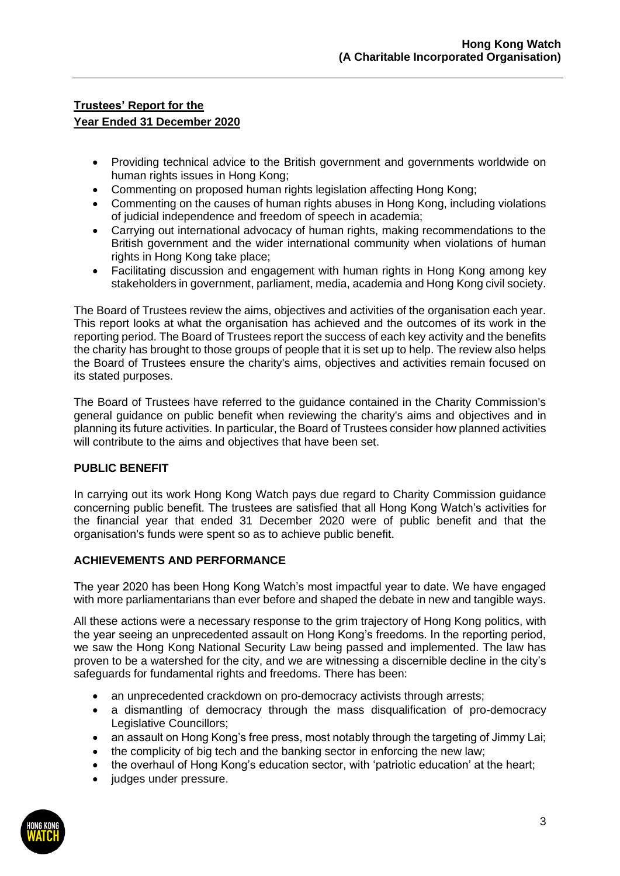- Providing technical advice to the British government and governments worldwide on human rights issues in Hong Kong;
- Commenting on proposed human rights legislation affecting Hong Kong;
- Commenting on the causes of human rights abuses in Hong Kong, including violations of judicial independence and freedom of speech in academia;
- Carrying out international advocacy of human rights, making recommendations to the British government and the wider international community when violations of human rights in Hong Kong take place;
- Facilitating discussion and engagement with human rights in Hong Kong among key stakeholders in government, parliament, media, academia and Hong Kong civil society.

The Board of Trustees review the aims, objectives and activities of the organisation each year. This report looks at what the organisation has achieved and the outcomes of its work in the reporting period. The Board of Trustees report the success of each key activity and the benefits the charity has brought to those groups of people that it is set up to help. The review also helps the Board of Trustees ensure the charity's aims, objectives and activities remain focused on its stated purposes.

The Board of Trustees have referred to the guidance contained in the Charity Commission's general guidance on public benefit when reviewing the charity's aims and objectives and in planning its future activities. In particular, the Board of Trustees consider how planned activities will contribute to the aims and objectives that have been set.

## **PUBLIC BENEFIT**

In carrying out its work Hong Kong Watch pays due regard to Charity Commission guidance concerning public benefit. The trustees are satisfied that all Hong Kong Watch's activities for the financial year that ended 31 December 2020 were of public benefit and that the organisation's funds were spent so as to achieve public benefit.

### **ACHIEVEMENTS AND PERFORMANCE**

The year 2020 has been Hong Kong Watch's most impactful year to date. We have engaged with more parliamentarians than ever before and shaped the debate in new and tangible ways.

All these actions were a necessary response to the grim trajectory of Hong Kong politics, with the year seeing an unprecedented assault on Hong Kong's freedoms. In the reporting period, we saw the Hong Kong National Security Law being passed and implemented. The law has proven to be a watershed for the city, and we are witnessing a discernible decline in the city's safeguards for fundamental rights and freedoms. There has been:

- an unprecedented crackdown on pro-democracy activists through arrests;
- a dismantling of democracy through the mass disqualification of pro-democracy Legislative Councillors;
- an assault on Hong Kong's free press, most notably through the targeting of Jimmy Lai;
- the complicity of big tech and the banking sector in enforcing the new law;
- the overhaul of Hong Kong's education sector, with 'patriotic education' at the heart;
- judges under pressure.

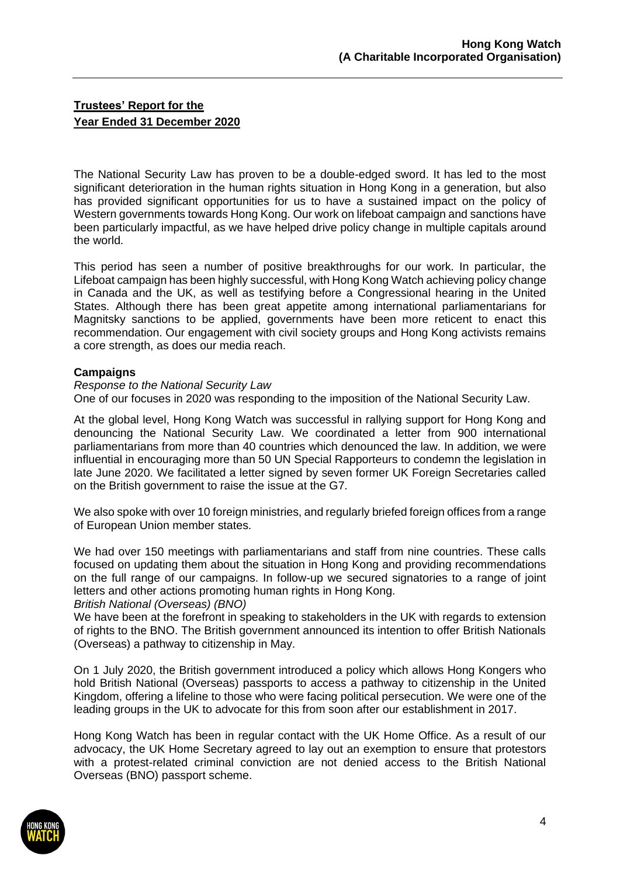The National Security Law has proven to be a double-edged sword. It has led to the most significant deterioration in the human rights situation in Hong Kong in a generation, but also has provided significant opportunities for us to have a sustained impact on the policy of Western governments towards Hong Kong. Our work on lifeboat campaign and sanctions have been particularly impactful, as we have helped drive policy change in multiple capitals around the world.

This period has seen a number of positive breakthroughs for our work. In particular, the Lifeboat campaign has been highly successful, with Hong Kong Watch achieving policy change in Canada and the UK, as well as testifying before a Congressional hearing in the United States. Although there has been great appetite among international parliamentarians for Magnitsky sanctions to be applied, governments have been more reticent to enact this recommendation. Our engagement with civil society groups and Hong Kong activists remains a core strength, as does our media reach.

### **Campaigns**

### *Response to the National Security Law*

One of our focuses in 2020 was responding to the imposition of the National Security Law.

At the global level, Hong Kong Watch was successful in rallying support for Hong Kong and denouncing the National Security Law. We coordinated a letter from 900 international parliamentarians from more than 40 countries which denounced the law. In addition, we were influential in encouraging more than 50 UN Special Rapporteurs to condemn the legislation in late June 2020. We facilitated a letter signed by seven former UK Foreign Secretaries called on the British government to raise the issue at the G7.

We also spoke with over 10 foreign ministries, and regularly briefed foreign offices from a range of European Union member states.

We had over 150 meetings with parliamentarians and staff from nine countries. These calls focused on updating them about the situation in Hong Kong and providing recommendations on the full range of our campaigns. In follow-up we secured signatories to a range of joint letters and other actions promoting human rights in Hong Kong.

*British National (Overseas) (BNO)*

We have been at the forefront in speaking to stakeholders in the UK with regards to extension of rights to the BNO. The British government announced its intention to offer British Nationals (Overseas) a pathway to citizenship in May.

On 1 July 2020, the British government introduced a policy which allows Hong Kongers who hold British National (Overseas) passports to access a pathway to citizenship in the United Kingdom, offering a lifeline to those who were facing political persecution. We were one of the leading groups in the UK to advocate for this from soon after our establishment in 2017.

Hong Kong Watch has been in regular contact with the UK Home Office. As a result of our advocacy, the UK Home Secretary agreed to lay out an exemption to ensure that protestors with a protest-related criminal conviction are not denied access to the British National Overseas (BNO) passport scheme.

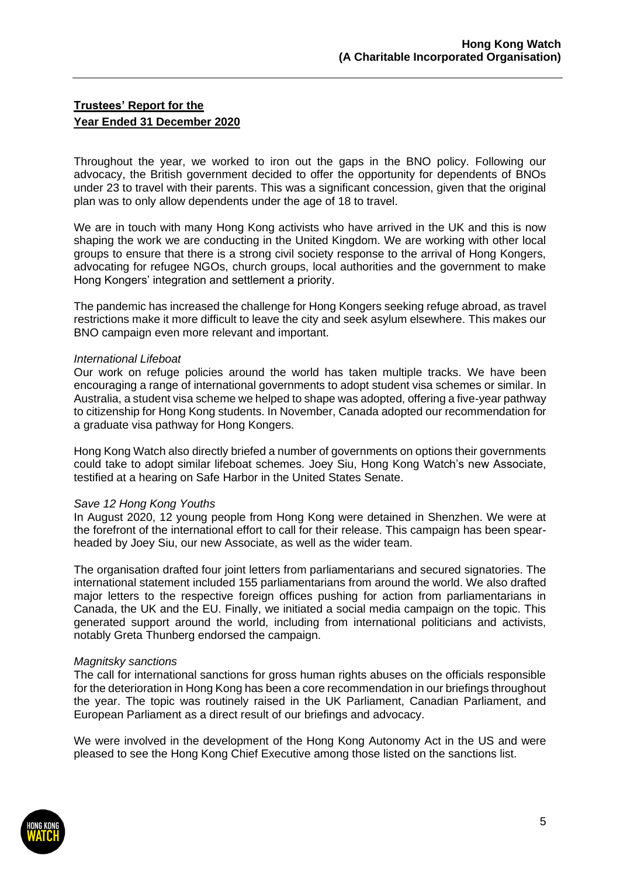Throughout the year, we worked to iron out the gaps in the BNO policy. Following our advocacy, the British government decided to offer the opportunity for dependents of BNOs under 23 to travel with their parents. This was a significant concession, given that the original plan was to only allow dependents under the age of 18 to travel.

We are in touch with many Hong Kong activists who have arrived in the UK and this is now shaping the work we are conducting in the United Kingdom. We are working with other local groups to ensure that there is a strong civil society response to the arrival of Hong Kongers, advocating for refugee NGOs, church groups, local authorities and the government to make Hong Kongers' integration and settlement a priority.

The pandemic has increased the challenge for Hong Kongers seeking refuge abroad, as travel restrictions make it more difficult to leave the city and seek asylum elsewhere. This makes our BNO campaign even more relevant and important.

#### *International Lifeboat*

Our work on refuge policies around the world has taken multiple tracks. We have been encouraging a range of international governments to adopt student visa schemes or similar. In Australia, a student visa scheme we helped to shape was adopted, offering a five-year pathway to citizenship for Hong Kong students. In November, Canada adopted our recommendation for a graduate visa pathway for Hong Kongers.

Hong Kong Watch also directly briefed a number of governments on options their governments could take to adopt similar lifeboat schemes. Joey Siu, Hong Kong Watch's new Associate, testified at a hearing on Safe Harbor in the United States Senate.

#### *Save 12 Hong Kong Youths*

In August 2020, 12 young people from Hong Kong were detained in Shenzhen. We were at the forefront of the international effort to call for their release. This campaign has been spearheaded by Joey Siu, our new Associate, as well as the wider team.

The organisation drafted four joint letters from parliamentarians and secured signatories. The international statement included 155 parliamentarians from around the world. We also drafted major letters to the respective foreign offices pushing for action from parliamentarians in Canada, the UK and the EU. Finally, we initiated a social media campaign on the topic. This generated support around the world, including from international politicians and activists, notably Greta Thunberg endorsed the campaign.

#### *Magnitsky sanctions*

The call for international sanctions for gross human rights abuses on the officials responsible for the deterioration in Hong Kong has been a core recommendation in our briefings throughout the year. The topic was routinely raised in the UK Parliament, Canadian Parliament, and European Parliament as a direct result of our briefings and advocacy.

We were involved in the development of the Hong Kong Autonomy Act in the US and were pleased to see the Hong Kong Chief Executive among those listed on the sanctions list.

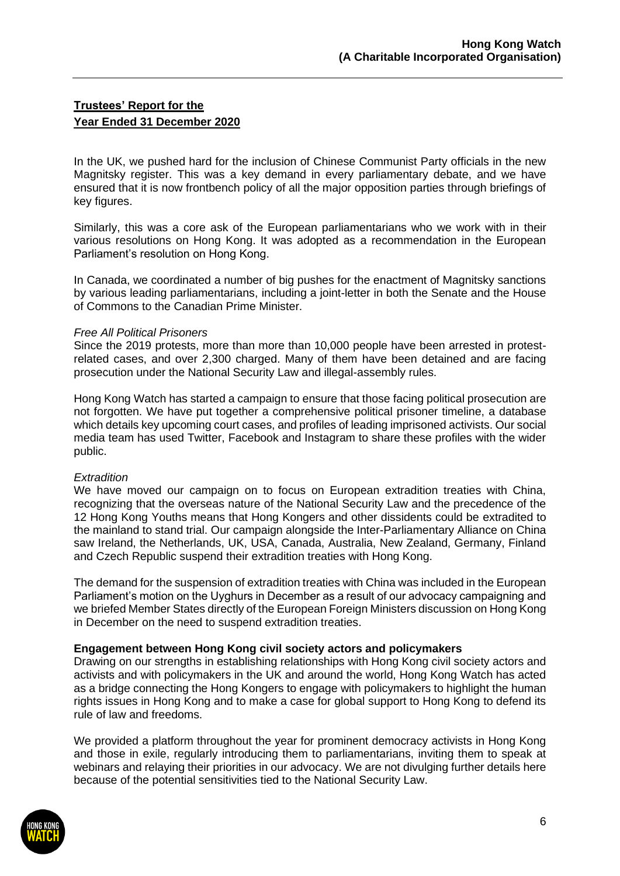In the UK, we pushed hard for the inclusion of Chinese Communist Party officials in the new Magnitsky register. This was a key demand in every parliamentary debate, and we have ensured that it is now frontbench policy of all the major opposition parties through briefings of key figures.

Similarly, this was a core ask of the European parliamentarians who we work with in their various resolutions on Hong Kong. It was adopted as a recommendation in the European Parliament's resolution on Hong Kong.

In Canada, we coordinated a number of big pushes for the enactment of Magnitsky sanctions by various leading parliamentarians, including a joint-letter in both the Senate and the House of Commons to the Canadian Prime Minister.

#### *Free All Political Prisoners*

Since the 2019 protests, more than more than 10,000 people have been arrested in protestrelated cases, and over 2,300 charged. Many of them have been detained and are facing prosecution under the National Security Law and illegal-assembly rules.

Hong Kong Watch has started a campaign to ensure that those facing political prosecution are not forgotten. We have put together a comprehensive political prisoner timeline, a database which details key upcoming court cases, and profiles of leading imprisoned activists. Our social media team has used Twitter, Facebook and Instagram to share these profiles with the wider public.

### *Extradition*

We have moved our campaign on to focus on European extradition treaties with China, recognizing that the overseas nature of the National Security Law and the precedence of the 12 Hong Kong Youths means that Hong Kongers and other dissidents could be extradited to the mainland to stand trial. Our campaign alongside the Inter-Parliamentary Alliance on China saw Ireland, the Netherlands, UK, USA, Canada, Australia, New Zealand, Germany, Finland and Czech Republic suspend their extradition treaties with Hong Kong.

The demand for the suspension of extradition treaties with China was included in the European Parliament's motion on the Uyghurs in December as a result of our advocacy campaigning and we briefed Member States directly of the European Foreign Ministers discussion on Hong Kong in December on the need to suspend extradition treaties.

### **Engagement between Hong Kong civil society actors and policymakers**

Drawing on our strengths in establishing relationships with Hong Kong civil society actors and activists and with policymakers in the UK and around the world, Hong Kong Watch has acted as a bridge connecting the Hong Kongers to engage with policymakers to highlight the human rights issues in Hong Kong and to make a case for global support to Hong Kong to defend its rule of law and freedoms.

We provided a platform throughout the year for prominent democracy activists in Hong Kong and those in exile, regularly introducing them to parliamentarians, inviting them to speak at webinars and relaying their priorities in our advocacy. We are not divulging further details here because of the potential sensitivities tied to the National Security Law.

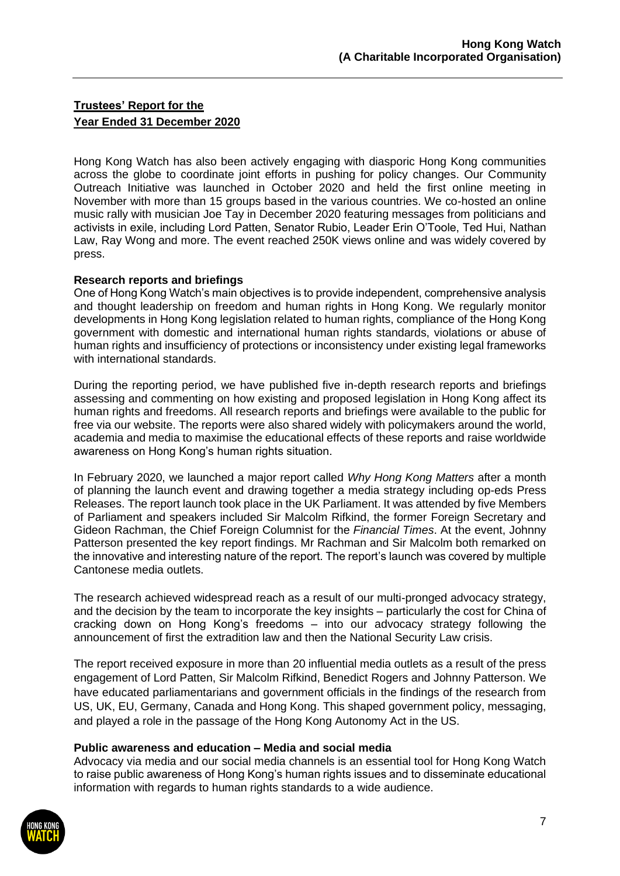Hong Kong Watch has also been actively engaging with diasporic Hong Kong communities across the globe to coordinate joint efforts in pushing for policy changes. Our Community Outreach Initiative was launched in October 2020 and held the first online meeting in November with more than 15 groups based in the various countries. We co-hosted an online music rally with musician Joe Tay in December 2020 featuring messages from politicians and activists in exile, including Lord Patten, Senator Rubio, Leader Erin O'Toole, Ted Hui, Nathan Law, Ray Wong and more. The event reached 250K views online and was widely covered by press.

### **Research reports and briefings**

One of Hong Kong Watch's main objectives is to provide independent, comprehensive analysis and thought leadership on freedom and human rights in Hong Kong. We regularly monitor developments in Hong Kong legislation related to human rights, compliance of the Hong Kong government with domestic and international human rights standards, violations or abuse of human rights and insufficiency of protections or inconsistency under existing legal frameworks with international standards.

During the reporting period, we have published five in-depth research reports and briefings assessing and commenting on how existing and proposed legislation in Hong Kong affect its human rights and freedoms. All research reports and briefings were available to the public for free via our website. The reports were also shared widely with policymakers around the world, academia and media to maximise the educational effects of these reports and raise worldwide awareness on Hong Kong's human rights situation.

In February 2020, we launched a major report called *Why Hong Kong Matters* after a month of planning the launch event and drawing together a media strategy including op-eds Press Releases. The report launch took place in the UK Parliament. It was attended by five Members of Parliament and speakers included Sir Malcolm Rifkind, the former Foreign Secretary and Gideon Rachman, the Chief Foreign Columnist for the *Financial Times*. At the event, Johnny Patterson presented the key report findings. Mr Rachman and Sir Malcolm both remarked on the innovative and interesting nature of the report. The report's launch was covered by multiple Cantonese media outlets.

The research achieved widespread reach as a result of our multi-pronged advocacy strategy, and the decision by the team to incorporate the key insights – particularly the cost for China of cracking down on Hong Kong's freedoms – into our advocacy strategy following the announcement of first the extradition law and then the National Security Law crisis.

The report received exposure in more than 20 influential media outlets as a result of the press engagement of Lord Patten, Sir Malcolm Rifkind, Benedict Rogers and Johnny Patterson. We have educated parliamentarians and government officials in the findings of the research from US, UK, EU, Germany, Canada and Hong Kong. This shaped government policy, messaging, and played a role in the passage of the Hong Kong Autonomy Act in the US.

### **Public awareness and education – Media and social media**

Advocacy via media and our social media channels is an essential tool for Hong Kong Watch to raise public awareness of Hong Kong's human rights issues and to disseminate educational information with regards to human rights standards to a wide audience.

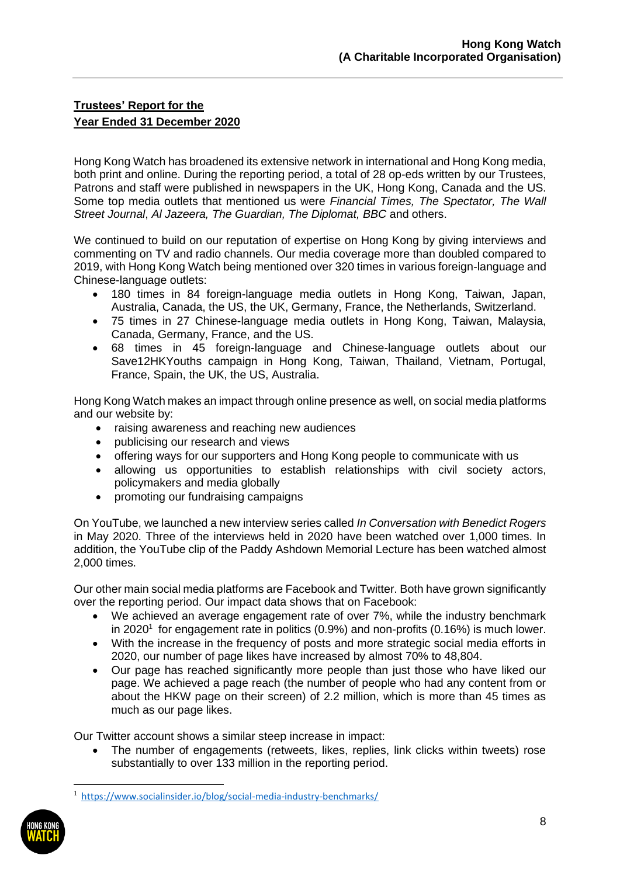Hong Kong Watch has broadened its extensive network in international and Hong Kong media, both print and online. During the reporting period, a total of 28 op-eds written by our Trustees, Patrons and staff were published in newspapers in the UK, Hong Kong, Canada and the US. Some top media outlets that mentioned us were *Financial Times, The Spectator, The Wall Street Journal*, *Al Jazeera, The Guardian, The Diplomat, BBC* and others.

We continued to build on our reputation of expertise on Hong Kong by giving interviews and commenting on TV and radio channels. Our media coverage more than doubled compared to 2019, with Hong Kong Watch being mentioned over 320 times in various foreign-language and Chinese-language outlets:

- 180 times in 84 foreign-language media outlets in Hong Kong, Taiwan, Japan, Australia, Canada, the US, the UK, Germany, France, the Netherlands, Switzerland.
- 75 times in 27 Chinese-language media outlets in Hong Kong, Taiwan, Malaysia, Canada, Germany, France, and the US.
- 68 times in 45 foreign-language and Chinese-language outlets about our Save12HKYouths campaign in Hong Kong, Taiwan, Thailand, Vietnam, Portugal, France, Spain, the UK, the US, Australia.

Hong Kong Watch makes an impact through online presence as well, on social media platforms and our website by:

- raising awareness and reaching new audiences
- publicising our research and views
- offering ways for our supporters and Hong Kong people to communicate with us
- allowing us opportunities to establish relationships with civil society actors, policymakers and media globally
- promoting our fundraising campaigns

On YouTube, we launched a new interview series called *In Conversation with Benedict Rogers* in May 2020. Three of the interviews held in 2020 have been watched over 1,000 times. In addition, the YouTube clip of the Paddy Ashdown Memorial Lecture has been watched almost 2,000 times.

Our other main social media platforms are Facebook and Twitter. Both have grown significantly over the reporting period. Our impact data shows that on Facebook:

- We achieved an average engagement rate of over 7%, while the industry benchmark in 2020<sup>1</sup> for engagement rate in politics (0.9%) and non-profits (0.16%) is much lower.
- With the increase in the frequency of posts and more strategic social media efforts in 2020, our number of page likes have increased by almost 70% to 48,804.
- Our page has reached significantly more people than just those who have liked our page. We achieved a page reach (the number of people who had any content from or about the HKW page on their screen) of 2.2 million, which is more than 45 times as much as our page likes.

Our Twitter account shows a similar steep increase in impact:

• The number of engagements (retweets, likes, replies, link clicks within tweets) rose substantially to over 133 million in the reporting period.

<https://www.socialinsider.io/blog/social-media-industry-benchmarks/>

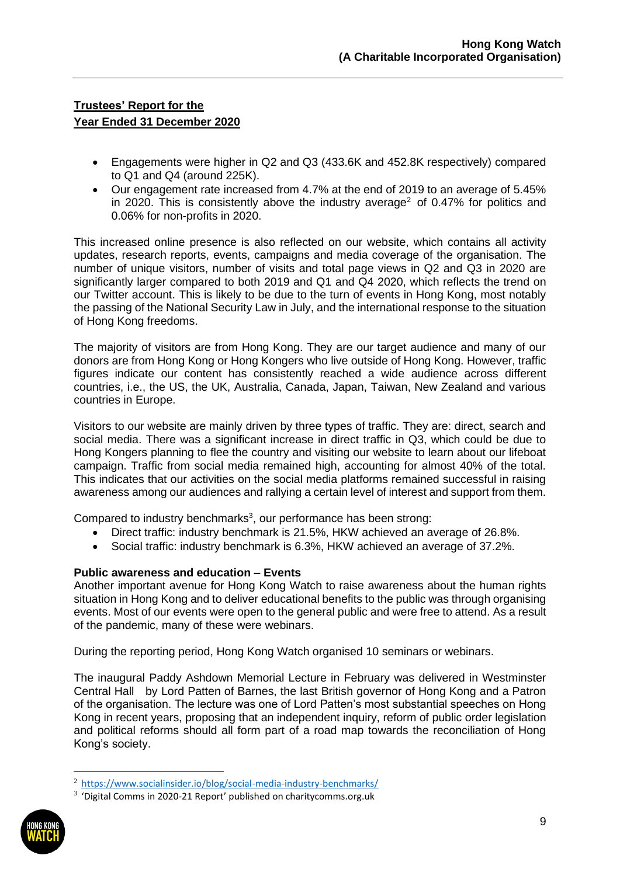- Engagements were higher in Q2 and Q3 (433.6K and 452.8K respectively) compared to Q1 and Q4 (around 225K).
- Our engagement rate increased from 4.7% at the end of 2019 to an average of 5.45% in 2020. This is consistently above the industry average<sup>2</sup> of 0.47% for politics and 0.06% for non-profits in 2020.

This increased online presence is also reflected on our website, which contains all activity updates, research reports, events, campaigns and media coverage of the organisation. The number of unique visitors, number of visits and total page views in Q2 and Q3 in 2020 are significantly larger compared to both 2019 and Q1 and Q4 2020, which reflects the trend on our Twitter account. This is likely to be due to the turn of events in Hong Kong, most notably the passing of the National Security Law in July, and the international response to the situation of Hong Kong freedoms.

The majority of visitors are from Hong Kong. They are our target audience and many of our donors are from Hong Kong or Hong Kongers who live outside of Hong Kong. However, traffic figures indicate our content has consistently reached a wide audience across different countries, i.e., the US, the UK, Australia, Canada, Japan, Taiwan, New Zealand and various countries in Europe.

Visitors to our website are mainly driven by three types of traffic. They are: direct, search and social media. There was a significant increase in direct traffic in Q3, which could be due to Hong Kongers planning to flee the country and visiting our website to learn about our lifeboat campaign. Traffic from social media remained high, accounting for almost 40% of the total. This indicates that our activities on the social media platforms remained successful in raising awareness among our audiences and rallying a certain level of interest and support from them.

Compared to industry benchmarks<sup>3</sup>, our performance has been strong:

- Direct traffic: industry benchmark is 21.5%, HKW achieved an average of 26.8%.
- Social traffic: industry benchmark is 6.3%, HKW achieved an average of 37.2%.

### **Public awareness and education – Events**

Another important avenue for Hong Kong Watch to raise awareness about the human rights situation in Hong Kong and to deliver educational benefits to the public was through organising events. Most of our events were open to the general public and were free to attend. As a result of the pandemic, many of these were webinars.

During the reporting period, Hong Kong Watch organised 10 seminars or webinars.

The inaugural Paddy Ashdown Memorial Lecture in February was delivered in Westminster Central Hall by Lord Patten of Barnes, the last British governor of Hong Kong and a Patron of the organisation. The lecture was one of Lord Patten's most substantial speeches on Hong Kong in recent years, proposing that an independent inquiry, reform of public order legislation and political reforms should all form part of a road map towards the reconciliation of Hong Kong's society.

 $3$  'Digital Comms in 2020-21 Report' published on charitycomms.org.uk



<sup>2</sup> <https://www.socialinsider.io/blog/social-media-industry-benchmarks/>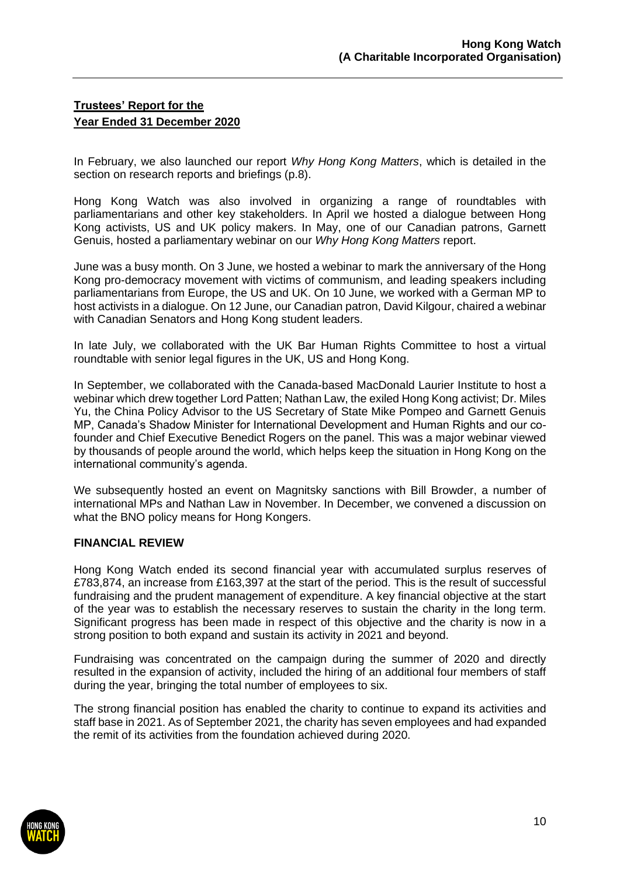In February, we also launched our report *Why Hong Kong Matters*, which is detailed in the section on research reports and briefings (p.8).

Hong Kong Watch was also involved in organizing a range of roundtables with parliamentarians and other key stakeholders. In April we hosted a dialogue between Hong Kong activists, US and UK policy makers. In May, one of our Canadian patrons, Garnett Genuis, hosted a parliamentary webinar on our *Why Hong Kong Matters* report.

June was a busy month. On 3 June, we hosted a webinar to mark the anniversary of the Hong Kong pro-democracy movement with victims of communism, and leading speakers including parliamentarians from Europe, the US and UK. On 10 June, we worked with a German MP to host activists in a dialogue. On 12 June, our Canadian patron, David Kilgour, chaired a webinar with Canadian Senators and Hong Kong student leaders.

In late July, we collaborated with the UK Bar Human Rights Committee to host a virtual roundtable with senior legal figures in the UK, US and Hong Kong.

In September, we collaborated with the Canada-based MacDonald Laurier Institute to host a webinar which drew together Lord Patten; Nathan Law, the exiled Hong Kong activist; Dr. Miles Yu, the China Policy Advisor to the US Secretary of State Mike Pompeo and Garnett Genuis MP, Canada's Shadow Minister for International Development and Human Rights and our cofounder and Chief Executive Benedict Rogers on the panel. This was a major webinar viewed by thousands of people around the world, which helps keep the situation in Hong Kong on the international community's agenda.

We subsequently hosted an event on Magnitsky sanctions with Bill Browder, a number of international MPs and Nathan Law in November. In December, we convened a discussion on what the BNO policy means for Hong Kongers.

### **FINANCIAL REVIEW**

Hong Kong Watch ended its second financial year with accumulated surplus reserves of £783,874, an increase from £163,397 at the start of the period. This is the result of successful fundraising and the prudent management of expenditure. A key financial objective at the start of the year was to establish the necessary reserves to sustain the charity in the long term. Significant progress has been made in respect of this objective and the charity is now in a strong position to both expand and sustain its activity in 2021 and beyond.

Fundraising was concentrated on the campaign during the summer of 2020 and directly resulted in the expansion of activity, included the hiring of an additional four members of staff during the year, bringing the total number of employees to six.

The strong financial position has enabled the charity to continue to expand its activities and staff base in 2021. As of September 2021, the charity has seven employees and had expanded the remit of its activities from the foundation achieved during 2020.

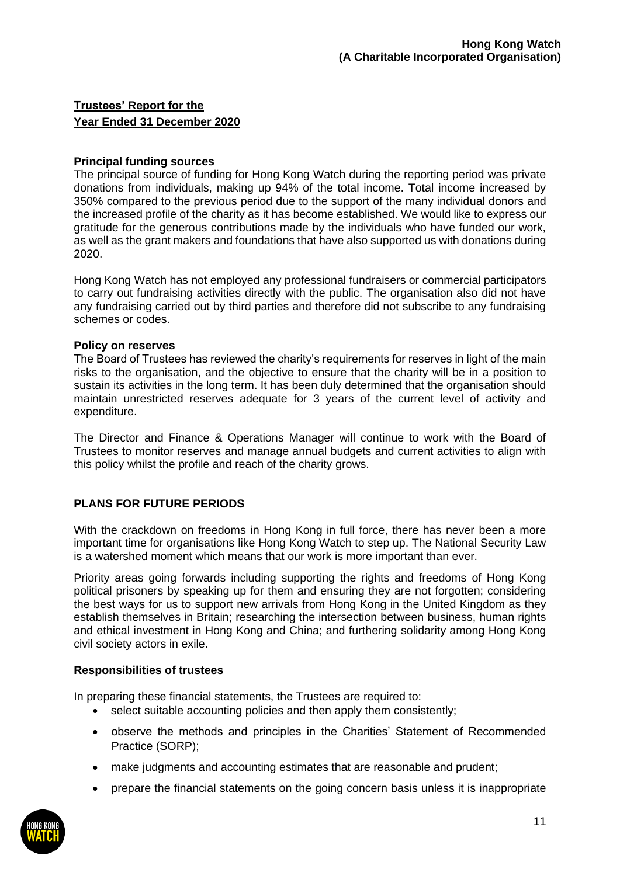### **Principal funding sources**

The principal source of funding for Hong Kong Watch during the reporting period was private donations from individuals, making up 94% of the total income. Total income increased by 350% compared to the previous period due to the support of the many individual donors and the increased profile of the charity as it has become established. We would like to express our gratitude for the generous contributions made by the individuals who have funded our work, as well as the grant makers and foundations that have also supported us with donations during 2020.

Hong Kong Watch has not employed any professional fundraisers or commercial participators to carry out fundraising activities directly with the public. The organisation also did not have any fundraising carried out by third parties and therefore did not subscribe to any fundraising schemes or codes.

### **Policy on reserves**

The Board of Trustees has reviewed the charity's requirements for reserves in light of the main risks to the organisation, and the objective to ensure that the charity will be in a position to sustain its activities in the long term. It has been duly determined that the organisation should maintain unrestricted reserves adequate for 3 years of the current level of activity and expenditure.

The Director and Finance & Operations Manager will continue to work with the Board of Trustees to monitor reserves and manage annual budgets and current activities to align with this policy whilst the profile and reach of the charity grows.

### **PLANS FOR FUTURE PERIODS**

With the crackdown on freedoms in Hong Kong in full force, there has never been a more important time for organisations like Hong Kong Watch to step up. The National Security Law is a watershed moment which means that our work is more important than ever.

Priority areas going forwards including supporting the rights and freedoms of Hong Kong political prisoners by speaking up for them and ensuring they are not forgotten; considering the best ways for us to support new arrivals from Hong Kong in the United Kingdom as they establish themselves in Britain; researching the intersection between business, human rights and ethical investment in Hong Kong and China; and furthering solidarity among Hong Kong civil society actors in exile.

### **Responsibilities of trustees**

In preparing these financial statements, the Trustees are required to:

- select suitable accounting policies and then apply them consistently;
- observe the methods and principles in the Charities' Statement of Recommended Practice (SORP);
- make judgments and accounting estimates that are reasonable and prudent;
- prepare the financial statements on the going concern basis unless it is inappropriate

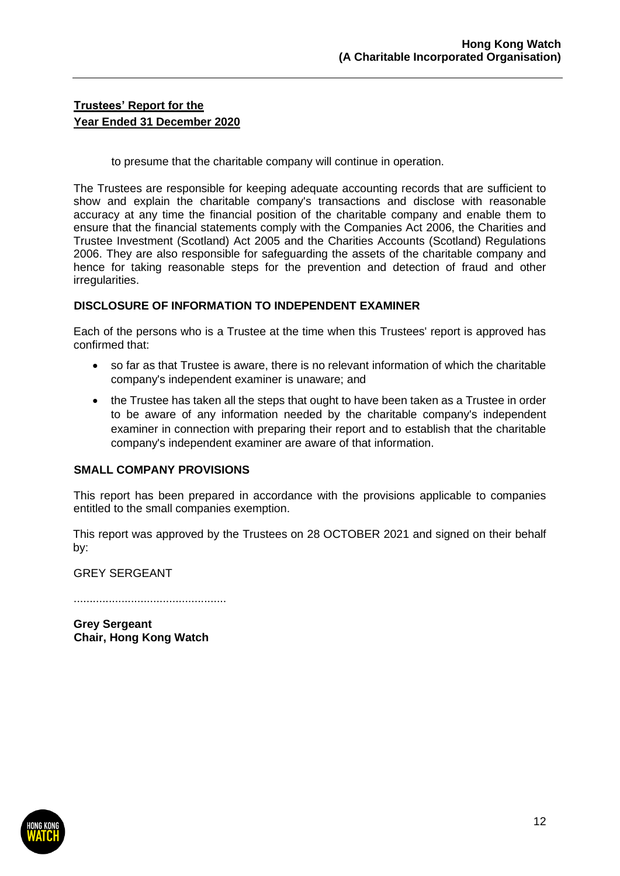to presume that the charitable company will continue in operation.

The Trustees are responsible for keeping adequate accounting records that are sufficient to show and explain the charitable company's transactions and disclose with reasonable accuracy at any time the financial position of the charitable company and enable them to ensure that the financial statements comply with the Companies Act 2006, the Charities and Trustee Investment (Scotland) Act 2005 and the Charities Accounts (Scotland) Regulations 2006. They are also responsible for safeguarding the assets of the charitable company and hence for taking reasonable steps for the prevention and detection of fraud and other irregularities.

### **DISCLOSURE OF INFORMATION TO INDEPENDENT EXAMINER**

Each of the persons who is a Trustee at the time when this Trustees' report is approved has confirmed that:

- so far as that Trustee is aware, there is no relevant information of which the charitable company's independent examiner is unaware; and
- the Trustee has taken all the steps that ought to have been taken as a Trustee in order to be aware of any information needed by the charitable company's independent examiner in connection with preparing their report and to establish that the charitable company's independent examiner are aware of that information.

### **SMALL COMPANY PROVISIONS**

This report has been prepared in accordance with the provisions applicable to companies entitled to the small companies exemption.

This report was approved by the Trustees on 28 OCTOBER 2021 and signed on their behalf by:

GREY SERGEANT

................................................

**Grey Sergeant Chair, Hong Kong Watch**

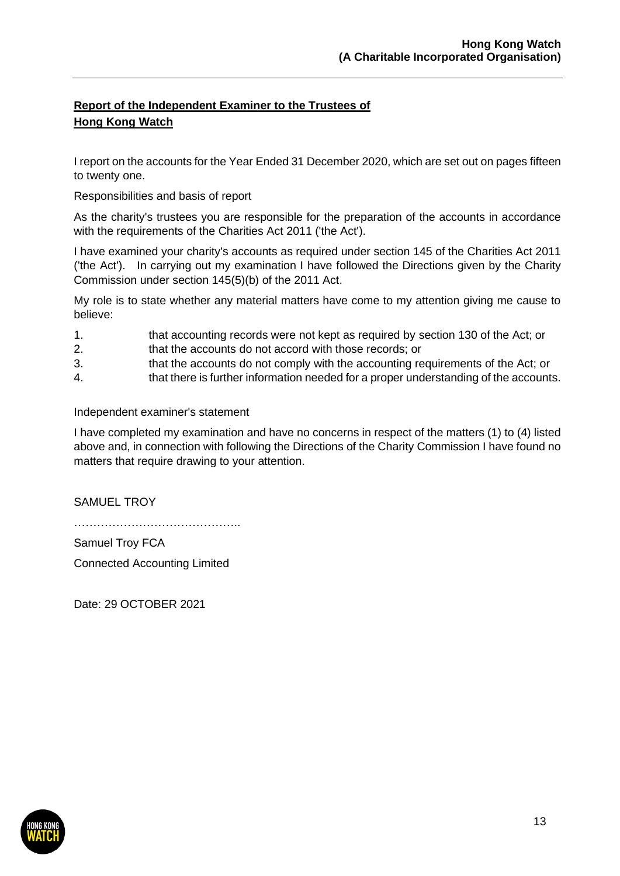# **Report of the Independent Examiner to the Trustees of Hong Kong Watch**

I report on the accounts for the Year Ended 31 December 2020, which are set out on pages fifteen to twenty one.

Responsibilities and basis of report

As the charity's trustees you are responsible for the preparation of the accounts in accordance with the requirements of the Charities Act 2011 ('the Act').

I have examined your charity's accounts as required under section 145 of the Charities Act 2011 ('the Act'). In carrying out my examination I have followed the Directions given by the Charity Commission under section 145(5)(b) of the 2011 Act.

My role is to state whether any material matters have come to my attention giving me cause to believe:

1. that accounting records were not kept as required by section 130 of the Act; or

2. that the accounts do not accord with those records; or

- 3. that the accounts do not comply with the accounting requirements of the Act; or
- 4. that there is further information needed for a proper understanding of the accounts.

### Independent examiner's statement

I have completed my examination and have no concerns in respect of the matters (1) to (4) listed above and, in connection with following the Directions of the Charity Commission I have found no matters that require drawing to your attention.

SAMUEL TROY

……………………………………..

Samuel Troy FCA Connected Accounting Limited

Date: 29 OCTOBER 2021

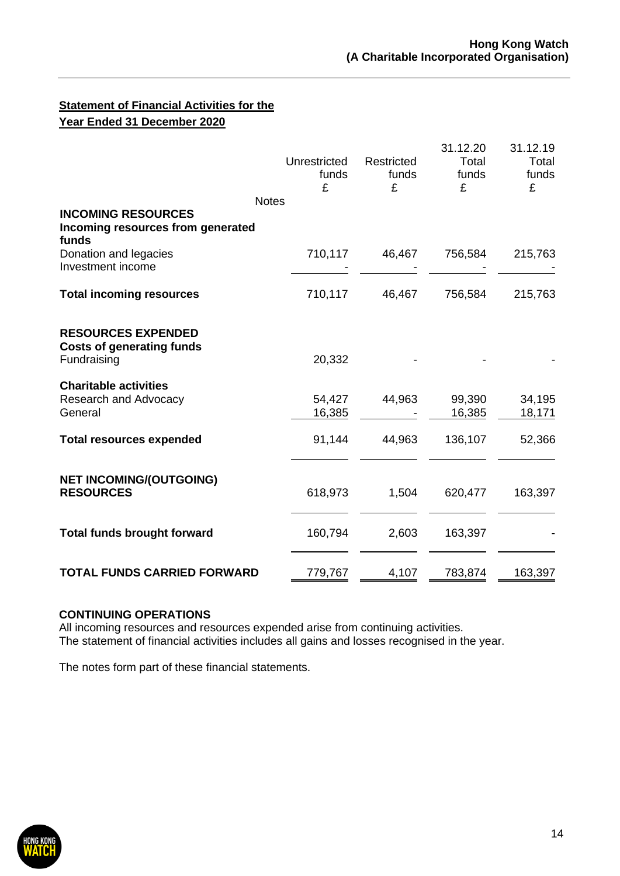## **Statement of Financial Activities for the Year Ended 31 December 2020**

|                                                                                | Unrestricted<br>funds<br>£ | Restricted<br>funds<br>£ | 31.12.20<br>Total<br>funds<br>£ | 31.12.19<br>Total<br>funds<br>£ |
|--------------------------------------------------------------------------------|----------------------------|--------------------------|---------------------------------|---------------------------------|
| <b>Notes</b><br><b>INCOMING RESOURCES</b><br>Incoming resources from generated |                            |                          |                                 |                                 |
| funds<br>Donation and legacies<br>Investment income                            | 710,117                    | 46,467                   | 756,584                         | 215,763                         |
| <b>Total incoming resources</b>                                                | 710,117                    | 46,467                   | 756,584                         | 215,763                         |
| <b>RESOURCES EXPENDED</b><br><b>Costs of generating funds</b><br>Fundraising   | 20,332                     |                          |                                 |                                 |
| <b>Charitable activities</b><br>Research and Advocacy<br>General               | 54,427<br>16,385           | 44,963                   | 99,390<br>16,385                | 34,195<br>18,171                |
| <b>Total resources expended</b>                                                | 91,144                     | 44,963                   | 136,107                         | 52,366                          |
| <b>NET INCOMING/(OUTGOING)</b><br><b>RESOURCES</b>                             | 618,973                    | 1,504                    | 620,477                         | 163,397                         |
| <b>Total funds brought forward</b>                                             | 160,794                    | 2,603                    | 163,397                         |                                 |
| <b>TOTAL FUNDS CARRIED FORWARD</b>                                             | 779,767                    | 4,107                    | 783,874                         | 163,397                         |

### **CONTINUING OPERATIONS**

All incoming resources and resources expended arise from continuing activities. The statement of financial activities includes all gains and losses recognised in the year.

The notes form part of these financial statements.

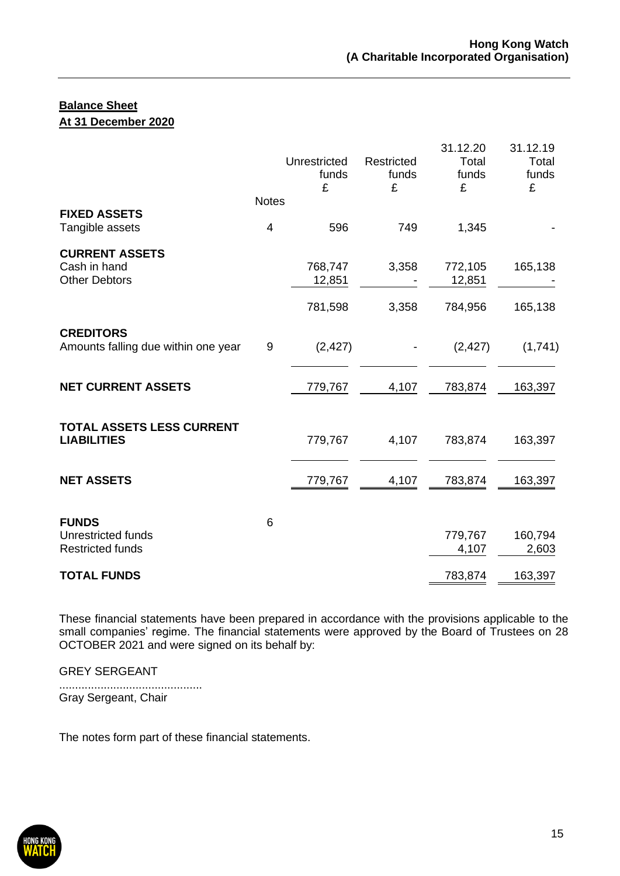### **Balance Sheet At 31 December 2020**

|                                                                      |                   | Unrestricted<br>funds<br>£ | Restricted<br>funds<br>£ | 31.12.20<br>Total<br>funds<br>£ | 31.12.19<br>Total<br>funds<br>£ |
|----------------------------------------------------------------------|-------------------|----------------------------|--------------------------|---------------------------------|---------------------------------|
| <b>FIXED ASSETS</b><br>Tangible assets                               | <b>Notes</b><br>4 | 596                        | 749                      | 1,345                           |                                 |
|                                                                      |                   |                            |                          |                                 |                                 |
| <b>CURRENT ASSETS</b><br>Cash in hand<br><b>Other Debtors</b>        |                   | 768,747<br>12,851          | 3,358                    | 772,105<br>12,851               | 165,138                         |
|                                                                      |                   | 781,598                    | 3,358                    | 784,956                         | 165,138                         |
| <b>CREDITORS</b><br>Amounts falling due within one year              | 9                 | (2, 427)                   |                          | (2, 427)                        | (1,741)                         |
| <b>NET CURRENT ASSETS</b>                                            |                   | 779,767                    | 4,107                    | 783,874                         | 163,397                         |
| TOTAL ASSETS LESS CURRENT<br><b>LIABILITIES</b>                      |                   | 779,767                    | 4,107                    | 783,874                         | 163,397                         |
| <b>NET ASSETS</b>                                                    |                   | 779,767                    | 4,107                    | 783,874                         | 163,397                         |
| <b>FUNDS</b><br><b>Unrestricted funds</b><br><b>Restricted funds</b> | 6                 |                            |                          | 779,767<br>4,107                | 160,794<br>2,603                |
| <b>TOTAL FUNDS</b>                                                   |                   |                            |                          | 783,874                         | 163,397                         |

These financial statements have been prepared in accordance with the provisions applicable to the small companies' regime. The financial statements were approved by the Board of Trustees on 28 OCTOBER 2021 and were signed on its behalf by:

GREY SERGEANT

............................................. Gray Sergeant, Chair

The notes form part of these financial statements.

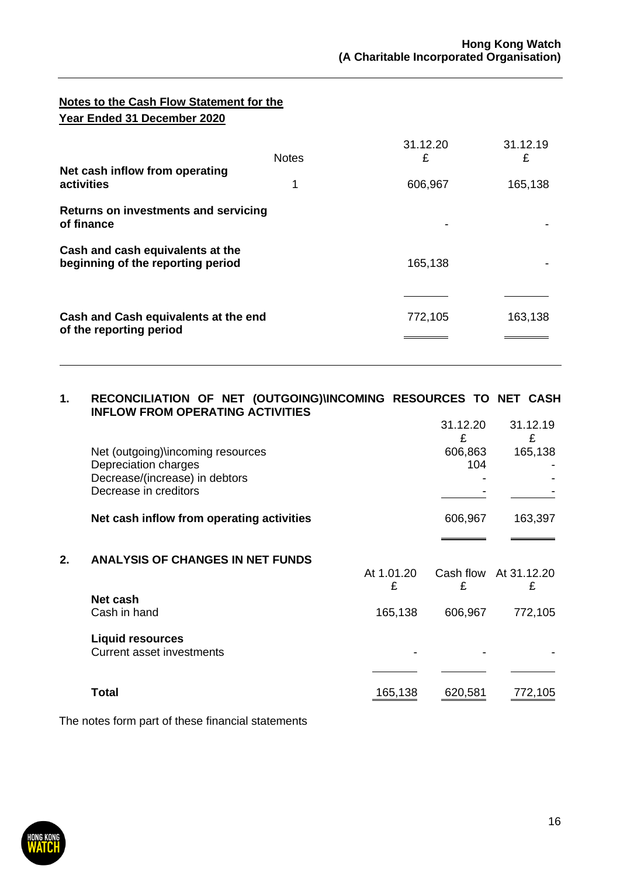## **Notes to the Cash Flow Statement for the Year Ended 31 December 2020**

| Net cash inflow from operating                                        | <b>Notes</b> | 31.12.20<br>£ | 31.12.19<br>£ |
|-----------------------------------------------------------------------|--------------|---------------|---------------|
| activities                                                            | 1            | 606,967       | 165,138       |
| <b>Returns on investments and servicing</b><br>of finance             |              | ٠             |               |
| Cash and cash equivalents at the<br>beginning of the reporting period |              | 165,138       |               |
| Cash and Cash equivalents at the end<br>of the reporting period       |              | 772,105       | 163,138       |

#### **1. RECONCILIATION OF NET (OUTGOING)\INCOMING RESOURCES TO NET CASH INFLOW FROM OPERATING ACTIVITIES** 31.12.20 31.12.19

|    |                                           |            | 31.12.20<br>£ | 31.12.19<br>£         |
|----|-------------------------------------------|------------|---------------|-----------------------|
|    | Net (outgoing)\incoming resources         |            | 606,863       | 165,138               |
|    | Depreciation charges                      |            | 104           |                       |
|    | Decrease/(increase) in debtors            |            |               |                       |
|    | Decrease in creditors                     |            |               |                       |
|    | Net cash inflow from operating activities |            | 606,967       | 163,397               |
|    |                                           |            |               |                       |
| 2. | <b>ANALYSIS OF CHANGES IN NET FUNDS</b>   |            |               |                       |
|    |                                           | At 1.01.20 |               | Cash flow At 31.12.20 |
|    |                                           | £          | £             | £                     |
|    | Net cash                                  |            |               |                       |
|    | Cash in hand                              | 165,138    | 606,967       | 772,105               |
|    | <b>Liquid resources</b>                   |            |               |                       |
|    | <b>Current asset investments</b>          |            |               |                       |
|    |                                           |            |               |                       |
|    | Total                                     | 165,138    | 620,581       | 772,105               |
|    |                                           |            |               |                       |

The notes form part of these financial statements

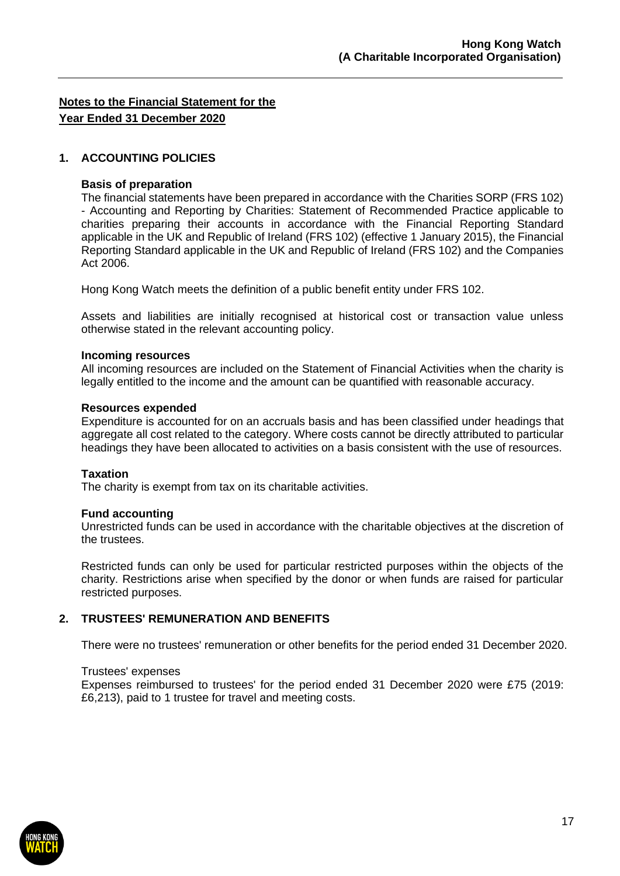### **1. ACCOUNTING POLICIES**

#### **Basis of preparation**

The financial statements have been prepared in accordance with the Charities SORP (FRS 102) - Accounting and Reporting by Charities: Statement of Recommended Practice applicable to charities preparing their accounts in accordance with the Financial Reporting Standard applicable in the UK and Republic of Ireland (FRS 102) (effective 1 January 2015), the Financial Reporting Standard applicable in the UK and Republic of Ireland (FRS 102) and the Companies Act 2006.

Hong Kong Watch meets the definition of a public benefit entity under FRS 102.

Assets and liabilities are initially recognised at historical cost or transaction value unless otherwise stated in the relevant accounting policy.

#### **Incoming resources**

All incoming resources are included on the Statement of Financial Activities when the charity is legally entitled to the income and the amount can be quantified with reasonable accuracy.

#### **Resources expended**

Expenditure is accounted for on an accruals basis and has been classified under headings that aggregate all cost related to the category. Where costs cannot be directly attributed to particular headings they have been allocated to activities on a basis consistent with the use of resources.

### **Taxation**

The charity is exempt from tax on its charitable activities.

### **Fund accounting**

Unrestricted funds can be used in accordance with the charitable objectives at the discretion of the trustees.

Restricted funds can only be used for particular restricted purposes within the objects of the charity. Restrictions arise when specified by the donor or when funds are raised for particular restricted purposes.

### **2. TRUSTEES' REMUNERATION AND BENEFITS**

There were no trustees' remuneration or other benefits for the period ended 31 December 2020.

### Trustees' expenses

Expenses reimbursed to trustees' for the period ended 31 December 2020 were £75 (2019: £6,213), paid to 1 trustee for travel and meeting costs.

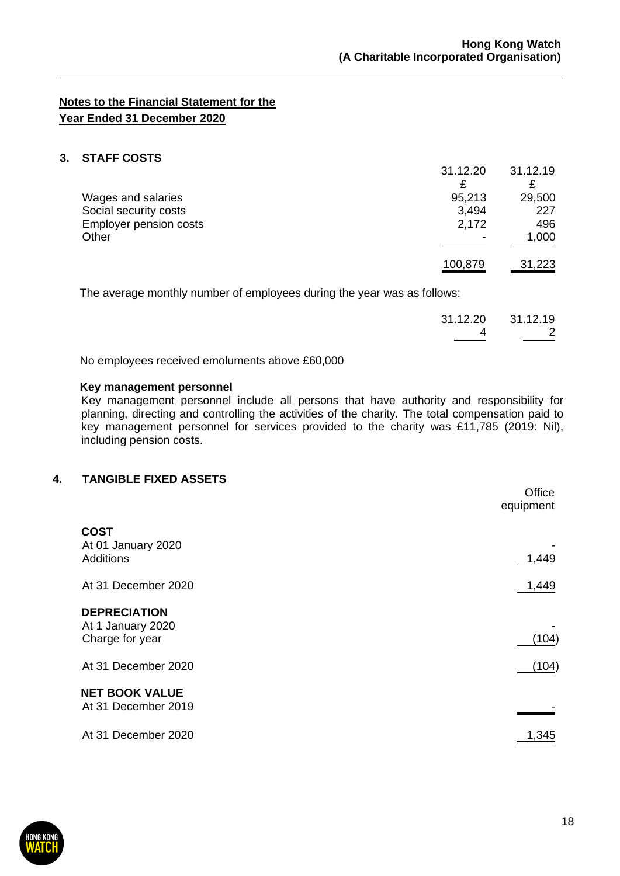31.12.20 31.12.19

## **Notes to the Financial Statement for the Year Ended 31 December 2020**

### **3. STAFF COSTS**

|                               | 31.12.20 | 31.12.19 |
|-------------------------------|----------|----------|
|                               | £        |          |
| Wages and salaries            | 95,213   | 29,500   |
| Social security costs         | 3,494    | 227      |
| <b>Employer pension costs</b> | 2,172    | 496      |
| Other                         |          | 1,000    |
|                               | 100,879  | 31,223   |
|                               |          |          |

The average monthly number of employees during the year was as follows:

| 31.12.20 31.12.19 |
|-------------------|
| $\sim$ 2          |
|                   |

No employees received emoluments above £60,000

#### **Key management personnel**

Key management personnel include all persons that have authority and responsibility for planning, directing and controlling the activities of the charity. The total compensation paid to key management personnel for services provided to the charity was £11,785 (2019: Nil), including pension costs.

### **4. TANGIBLE FIXED ASSETS**

|                                                             | Office<br>equipment |
|-------------------------------------------------------------|---------------------|
| <b>COST</b><br>At 01 January 2020<br><b>Additions</b>       | 1,449               |
| At 31 December 2020                                         | 1,449               |
| <b>DEPRECIATION</b><br>At 1 January 2020<br>Charge for year | (104)               |
| At 31 December 2020                                         | (104)               |
| <b>NET BOOK VALUE</b><br>At 31 December 2019                |                     |
| At 31 December 2020                                         | 1,345               |

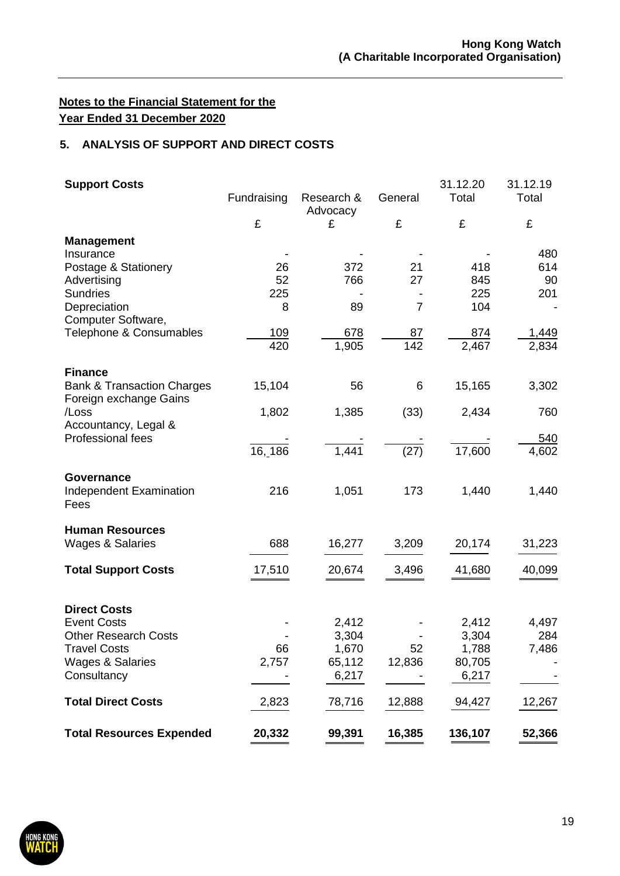## **5. ANALYSIS OF SUPPORT AND DIRECT COSTS**

| <b>Support Costs</b>                                                              | Fundraising | Research &<br>Advocacy | General        | 31.12.20<br>Total | 31.12.19<br>Total   |
|-----------------------------------------------------------------------------------|-------------|------------------------|----------------|-------------------|---------------------|
|                                                                                   | £           | £                      | £              | £                 | £                   |
| <b>Management</b><br>Insurance                                                    |             |                        |                |                   | 480                 |
| Postage & Stationery                                                              | 26          | 372                    | 21             | 418               | 614                 |
| Advertising<br><b>Sundries</b>                                                    | 52<br>225   | 766                    | 27             | 845<br>225        | 90<br>201           |
| Depreciation<br>Computer Software,                                                | 8           | 89                     | $\overline{7}$ | 104               |                     |
| Telephone & Consumables                                                           | 109<br>420  | 678<br>1,905           | 87<br>142      | 874<br>2,467      | 1,449<br>2,834      |
|                                                                                   |             |                        |                |                   |                     |
| <b>Finance</b><br><b>Bank &amp; Transaction Charges</b><br>Foreign exchange Gains | 15,104      | 56                     | 6              | 15,165            | 3,302               |
| /Loss<br>Accountancy, Legal &                                                     | 1,802       | 1,385                  | (33)           | 2,434             | 760                 |
| Professional fees                                                                 | 16, 186     | 1,441                  | (27)           | 17,600            | <u>540</u><br>4,602 |
| <b>Governance</b><br>Independent Examination<br>Fees                              | 216         | 1,051                  | 173            | 1,440             | 1,440               |
| <b>Human Resources</b><br>Wages & Salaries                                        | 688         | 16,277                 | 3,209          | 20,174            | 31,223              |
| <b>Total Support Costs</b>                                                        | 17,510      | 20,674                 | 3,496          | 41,680            | 40,099              |
|                                                                                   |             |                        |                |                   |                     |
| <b>Direct Costs</b>                                                               |             |                        |                |                   |                     |
| <b>Event Costs</b><br><b>Other Research Costs</b>                                 |             | 2,412                  |                | 2,412             | 4,497<br>284        |
| Travel Costs                                                                      | 66          | 3,304<br>1,670         | 52             | 3,304<br>1,788    | 7,486               |
| <b>Wages &amp; Salaries</b>                                                       | 2,757       | 65,112                 | 12,836         | 80,705            |                     |
| Consultancy                                                                       |             | 6,217                  |                | 6,217             |                     |
| <b>Total Direct Costs</b>                                                         | 2,823       | 78,716                 | 12,888         | 94,427            | 12,267              |
| <b>Total Resources Expended</b>                                                   | 20,332      | 99,391                 | 16,385         | 136,107           | 52,366              |

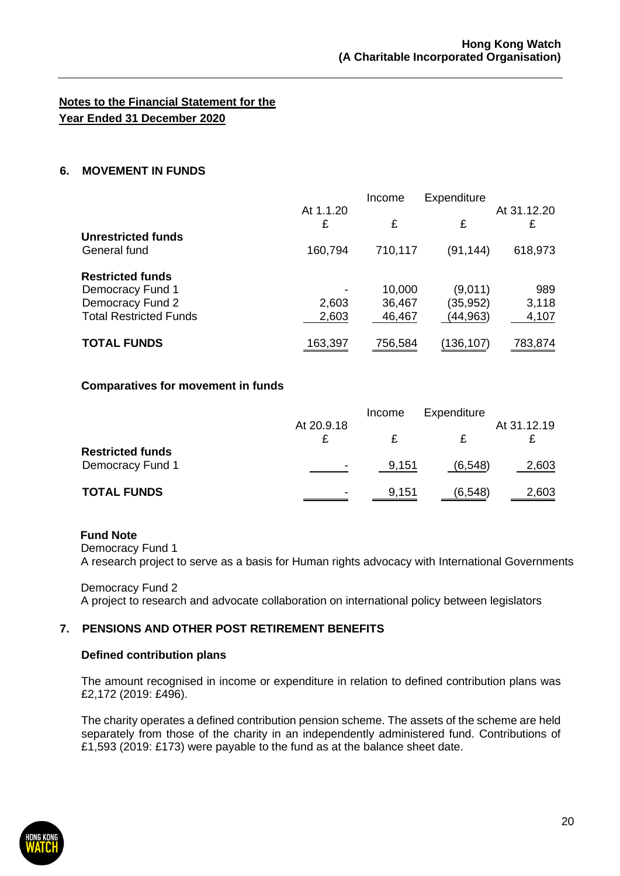### **6. MOVEMENT IN FUNDS**

|                               |                | Income  | Expenditure |                  |
|-------------------------------|----------------|---------|-------------|------------------|
|                               | At 1.1.20<br>£ | £       | £           | At 31.12.20<br>£ |
| Unrestricted funds            |                |         |             |                  |
| General fund                  | 160,794        | 710,117 | (91, 144)   | 618,973          |
| <b>Restricted funds</b>       |                |         |             |                  |
| Democracy Fund 1              |                | 10,000  | (9,011)     | 989              |
| Democracy Fund 2              | 2,603          | 36,467  | (35,952)    | 3,118            |
| <b>Total Restricted Funds</b> | 2,603          | 46,467  | (44,963)    | 4,107            |
| <b>TOTAL FUNDS</b>            | 163,397        | 756,584 | (136,107)   | 783,874          |

#### **Comparatives for movement in funds**

|                                             |                          | Income | Expenditure | At 31.12.19 |
|---------------------------------------------|--------------------------|--------|-------------|-------------|
|                                             | At 20.9.18               |        |             |             |
| <b>Restricted funds</b><br>Democracy Fund 1 | $\overline{\phantom{a}}$ | 9,151  | (6, 548)    | 2,603       |
| <b>TOTAL FUNDS</b>                          | $\overline{\phantom{0}}$ | 9,151  | (6, 548)    | 2,603       |

### **Fund Note**

Democracy Fund 1

A research project to serve as a basis for Human rights advocacy with International Governments

Democracy Fund 2 A project to research and advocate collaboration on international policy between legislators

### **7. PENSIONS AND OTHER POST RETIREMENT BENEFITS**

### **Defined contribution plans**

The amount recognised in income or expenditure in relation to defined contribution plans was £2,172 (2019: £496).

The charity operates a defined contribution pension scheme. The assets of the scheme are held separately from those of the charity in an independently administered fund. Contributions of £1,593 (2019: £173) were payable to the fund as at the balance sheet date.